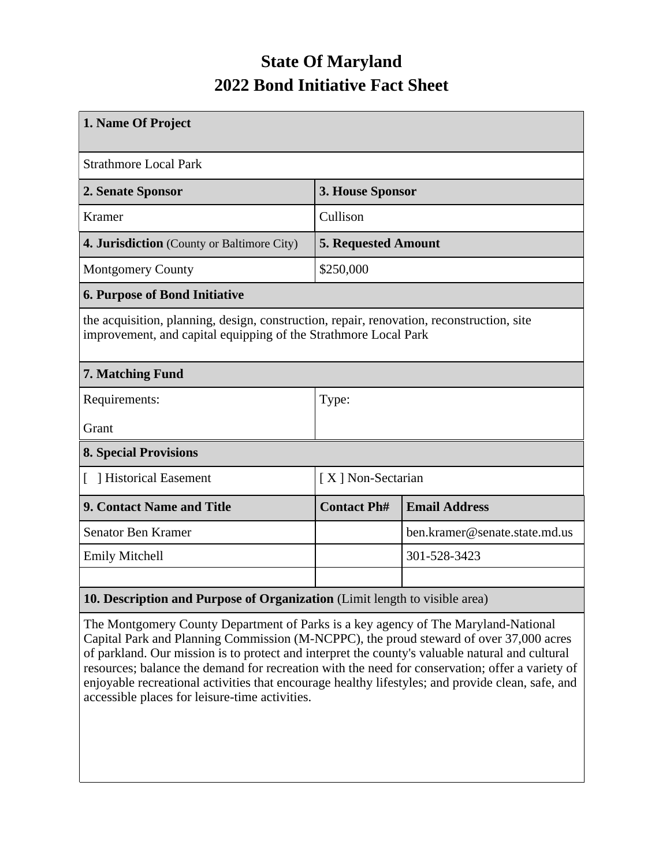## **State Of Maryland 2022 Bond Initiative Fact Sheet**

| 1. Name Of Project                                                                                                                                           |                            |                               |  |  |  |  |
|--------------------------------------------------------------------------------------------------------------------------------------------------------------|----------------------------|-------------------------------|--|--|--|--|
| <b>Strathmore Local Park</b>                                                                                                                                 |                            |                               |  |  |  |  |
| 2. Senate Sponsor                                                                                                                                            | 3. House Sponsor           |                               |  |  |  |  |
| <b>Kramer</b>                                                                                                                                                | Cullison                   |                               |  |  |  |  |
| 4. Jurisdiction (County or Baltimore City)                                                                                                                   | <b>5. Requested Amount</b> |                               |  |  |  |  |
| <b>Montgomery County</b>                                                                                                                                     | \$250,000                  |                               |  |  |  |  |
| <b>6. Purpose of Bond Initiative</b>                                                                                                                         |                            |                               |  |  |  |  |
| the acquisition, planning, design, construction, repair, renovation, reconstruction, site<br>improvement, and capital equipping of the Strathmore Local Park |                            |                               |  |  |  |  |
| 7. Matching Fund                                                                                                                                             |                            |                               |  |  |  |  |
| Requirements:                                                                                                                                                | Type:                      |                               |  |  |  |  |
| Grant                                                                                                                                                        |                            |                               |  |  |  |  |
| <b>8. Special Provisions</b>                                                                                                                                 |                            |                               |  |  |  |  |
| Historical Easement                                                                                                                                          |                            | [X] Non-Sectarian             |  |  |  |  |
| 9. Contact Name and Title                                                                                                                                    | <b>Contact Ph#</b>         | <b>Email Address</b>          |  |  |  |  |
| Senator Ben Kramer                                                                                                                                           |                            | ben.kramer@senate.state.md.us |  |  |  |  |
| <b>Emily Mitchell</b>                                                                                                                                        |                            | 301-528-3423                  |  |  |  |  |
|                                                                                                                                                              |                            |                               |  |  |  |  |
| 10. Description and Purpose of Organization (Limit length to visible area)                                                                                   |                            |                               |  |  |  |  |

The Montgomery County Department of Parks is a key agency of The Maryland-National Capital Park and Planning Commission (M-NCPPC), the proud steward of over 37,000 acres of parkland. Our mission is to protect and interpret the county's valuable natural and cultural resources; balance the demand for recreation with the need for conservation; offer a variety of enjoyable recreational activities that encourage healthy lifestyles; and provide clean, safe, and accessible places for leisure-time activities.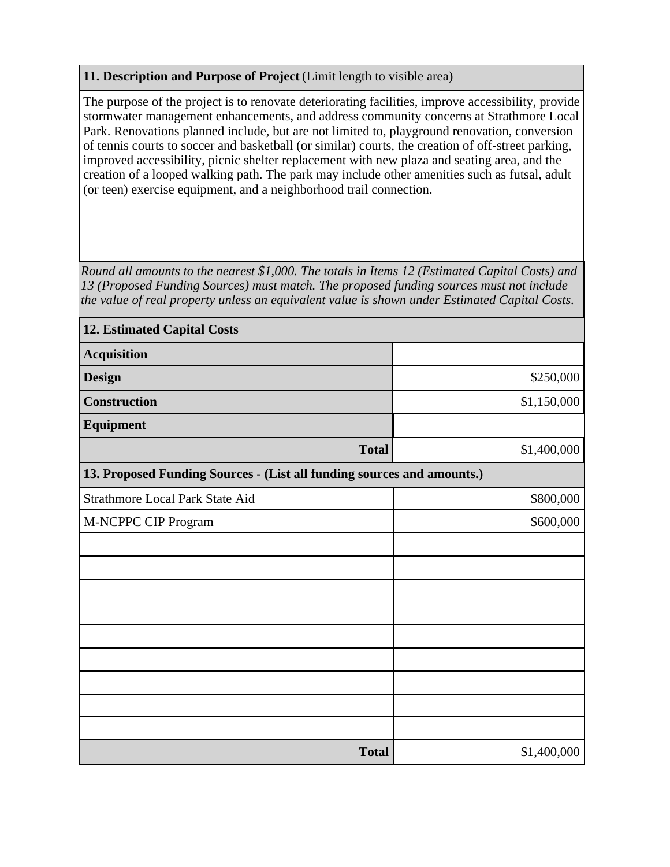## **11. Description and Purpose of Project** (Limit length to visible area)

The purpose of the project is to renovate deteriorating facilities, improve accessibility, provide stormwater management enhancements, and address community concerns at Strathmore Local Park. Renovations planned include, but are not limited to, playground renovation, conversion of tennis courts to soccer and basketball (or similar) courts, the creation of off-street parking, improved accessibility, picnic shelter replacement with new plaza and seating area, and the creation of a looped walking path. The park may include other amenities such as futsal, adult (or teen) exercise equipment, and a neighborhood trail connection.

*Round all amounts to the nearest \$1,000. The totals in Items 12 (Estimated Capital Costs) and 13 (Proposed Funding Sources) must match. The proposed funding sources must not include the value of real property unless an equivalent value is shown under Estimated Capital Costs.*

| <b>12. Estimated Capital Costs</b>                                     |             |  |  |  |  |  |
|------------------------------------------------------------------------|-------------|--|--|--|--|--|
| <b>Acquisition</b>                                                     |             |  |  |  |  |  |
| <b>Design</b>                                                          | \$250,000   |  |  |  |  |  |
| <b>Construction</b>                                                    | \$1,150,000 |  |  |  |  |  |
| <b>Equipment</b>                                                       |             |  |  |  |  |  |
| <b>Total</b>                                                           | \$1,400,000 |  |  |  |  |  |
| 13. Proposed Funding Sources - (List all funding sources and amounts.) |             |  |  |  |  |  |
| Strathmore Local Park State Aid                                        | \$800,000   |  |  |  |  |  |
| M-NCPPC CIP Program                                                    | \$600,000   |  |  |  |  |  |
|                                                                        |             |  |  |  |  |  |
|                                                                        |             |  |  |  |  |  |
|                                                                        |             |  |  |  |  |  |
|                                                                        |             |  |  |  |  |  |
|                                                                        |             |  |  |  |  |  |
|                                                                        |             |  |  |  |  |  |
|                                                                        |             |  |  |  |  |  |
|                                                                        |             |  |  |  |  |  |
|                                                                        |             |  |  |  |  |  |
| <b>Total</b>                                                           | \$1,400,000 |  |  |  |  |  |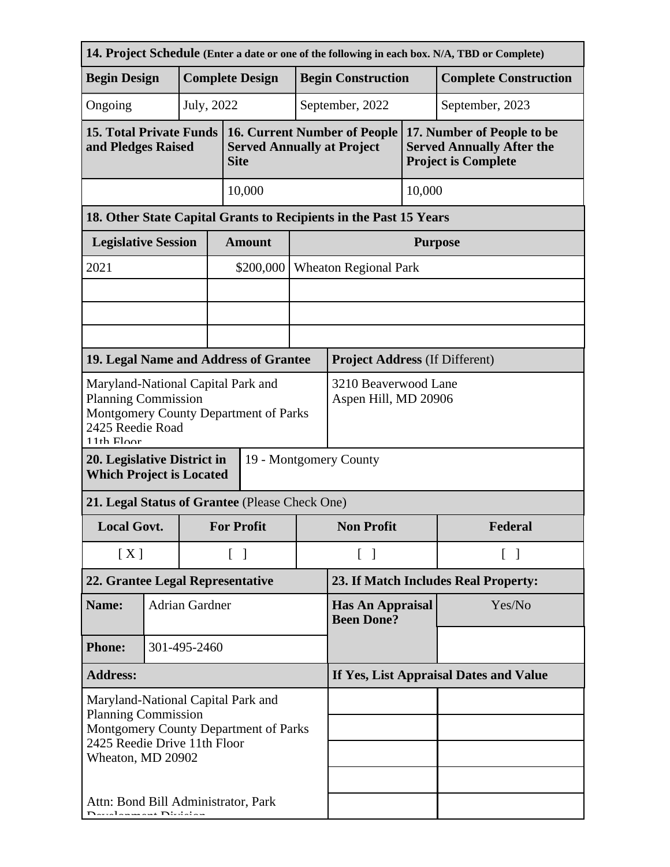| 14. Project Schedule (Enter a date or one of the following in each box. N/A, TBD or Complete)                                                                  |                        |  |                                              |                                                                                         |                           |                                                                   |         |                                                                                              |  |
|----------------------------------------------------------------------------------------------------------------------------------------------------------------|------------------------|--|----------------------------------------------|-----------------------------------------------------------------------------------------|---------------------------|-------------------------------------------------------------------|---------|----------------------------------------------------------------------------------------------|--|
| <b>Begin Design</b>                                                                                                                                            | <b>Complete Design</b> |  |                                              |                                                                                         | <b>Begin Construction</b> |                                                                   |         | <b>Complete Construction</b>                                                                 |  |
| Ongoing                                                                                                                                                        |                        |  | July, 2022                                   |                                                                                         |                           | September, 2022<br>September, 2023                                |         |                                                                                              |  |
| <b>15. Total Private Funds</b><br>and Pledges Raised                                                                                                           |                        |  |                                              | <b>16. Current Number of People</b><br><b>Served Annually at Project</b><br><b>Site</b> |                           |                                                                   |         | 17. Number of People to be<br><b>Served Annually After the</b><br><b>Project is Complete</b> |  |
| 10,000                                                                                                                                                         |                        |  |                                              |                                                                                         |                           |                                                                   | 10,000  |                                                                                              |  |
|                                                                                                                                                                |                        |  |                                              |                                                                                         |                           | 18. Other State Capital Grants to Recipients in the Past 15 Years |         |                                                                                              |  |
| <b>Legislative Session</b>                                                                                                                                     |                        |  |                                              | <b>Amount</b>                                                                           |                           | <b>Purpose</b>                                                    |         |                                                                                              |  |
| 2021                                                                                                                                                           |                        |  |                                              | \$200,000                                                                               |                           | <b>Wheaton Regional Park</b>                                      |         |                                                                                              |  |
|                                                                                                                                                                |                        |  |                                              |                                                                                         |                           |                                                                   |         |                                                                                              |  |
|                                                                                                                                                                |                        |  |                                              |                                                                                         |                           |                                                                   |         |                                                                                              |  |
|                                                                                                                                                                |                        |  |                                              |                                                                                         |                           |                                                                   |         |                                                                                              |  |
| 19. Legal Name and Address of Grantee                                                                                                                          |                        |  |                                              |                                                                                         |                           | <b>Project Address (If Different)</b>                             |         |                                                                                              |  |
| Maryland-National Capital Park and<br><b>Planning Commission</b><br>Montgomery County Department of Parks<br>2425 Reedie Road<br>$11th$ Floor                  |                        |  | 3210 Beaverwood Lane<br>Aspen Hill, MD 20906 |                                                                                         |                           |                                                                   |         |                                                                                              |  |
| 20. Legislative District in<br>19 - Montgomery County<br><b>Which Project is Located</b>                                                                       |                        |  |                                              |                                                                                         |                           |                                                                   |         |                                                                                              |  |
| 21. Legal Status of Grantee (Please Check One)                                                                                                                 |                        |  |                                              |                                                                                         |                           |                                                                   |         |                                                                                              |  |
| <b>Local Govt.</b>                                                                                                                                             |                        |  | <b>For Profit</b>                            |                                                                                         | <b>Non Profit</b>         |                                                                   | Federal |                                                                                              |  |
| [X]                                                                                                                                                            |                        |  | $\lceil$ $\rceil$                            | $\begin{bmatrix} 1 \end{bmatrix}$                                                       |                           | $\lceil$ 1                                                        |         |                                                                                              |  |
| 22. Grantee Legal Representative                                                                                                                               |                        |  |                                              | 23. If Match Includes Real Property:                                                    |                           |                                                                   |         |                                                                                              |  |
| Name:                                                                                                                                                          | <b>Adrian Gardner</b>  |  |                                              | <b>Has An Appraisal</b><br><b>Been Done?</b>                                            |                           |                                                                   | Yes/No  |                                                                                              |  |
| <b>Phone:</b>                                                                                                                                                  | 301-495-2460           |  |                                              |                                                                                         |                           |                                                                   |         |                                                                                              |  |
| <b>Address:</b>                                                                                                                                                |                        |  | If Yes, List Appraisal Dates and Value       |                                                                                         |                           |                                                                   |         |                                                                                              |  |
| Maryland-National Capital Park and<br><b>Planning Commission</b><br>Montgomery County Department of Parks<br>2425 Reedie Drive 11th Floor<br>Wheaton, MD 20902 |                        |  |                                              |                                                                                         |                           |                                                                   |         |                                                                                              |  |
| Attn: Bond Bill Administrator, Park<br>سمادات المستحدث والمستحدث                                                                                               |                        |  |                                              |                                                                                         |                           |                                                                   |         |                                                                                              |  |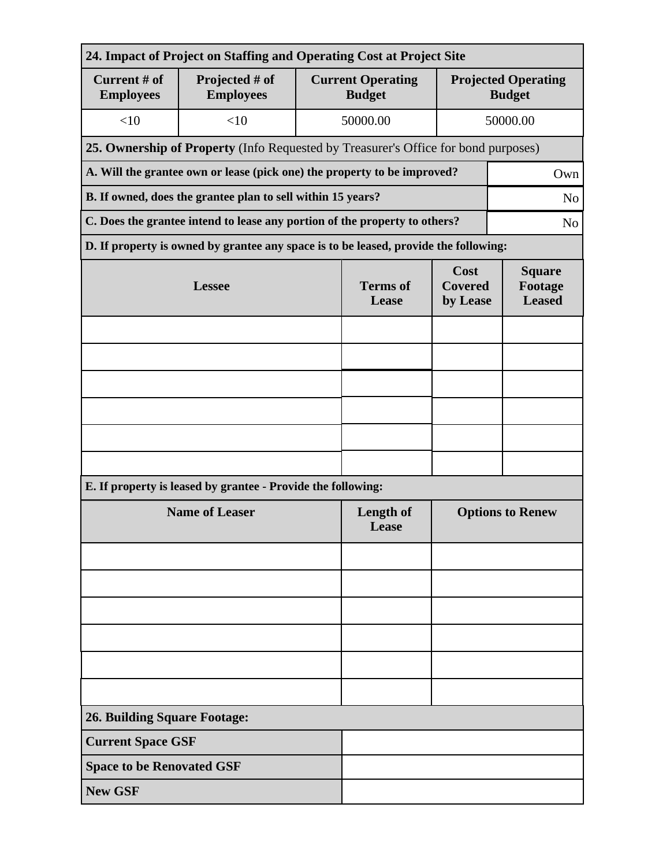| 24. Impact of Project on Staffing and Operating Cost at Project Site               |                                                                                              |                          |                                           |                                             |          |  |  |  |
|------------------------------------------------------------------------------------|----------------------------------------------------------------------------------------------|--------------------------|-------------------------------------------|---------------------------------------------|----------|--|--|--|
| <b>Current # of</b><br><b>Employees</b>                                            | Projected # of<br><b>Employees</b>                                                           |                          | <b>Current Operating</b><br><b>Budget</b> | <b>Projected Operating</b><br><b>Budget</b> |          |  |  |  |
| <10                                                                                | <10                                                                                          |                          | 50000.00                                  |                                             | 50000.00 |  |  |  |
| 25. Ownership of Property (Info Requested by Treasurer's Office for bond purposes) |                                                                                              |                          |                                           |                                             |          |  |  |  |
| A. Will the grantee own or lease (pick one) the property to be improved?<br>Own    |                                                                                              |                          |                                           |                                             |          |  |  |  |
| B. If owned, does the grantee plan to sell within 15 years?<br>N <sub>o</sub>      |                                                                                              |                          |                                           |                                             |          |  |  |  |
|                                                                                    | C. Does the grantee intend to lease any portion of the property to others?<br>N <sub>o</sub> |                          |                                           |                                             |          |  |  |  |
|                                                                                    | D. If property is owned by grantee any space is to be leased, provide the following:         |                          |                                           |                                             |          |  |  |  |
|                                                                                    | <b>Lessee</b>                                                                                | <b>Terms</b> of<br>Lease | Cost<br><b>Covered</b><br>by Lease        | <b>Square</b><br>Footage<br><b>Leased</b>   |          |  |  |  |
|                                                                                    |                                                                                              |                          |                                           |                                             |          |  |  |  |
|                                                                                    |                                                                                              |                          |                                           |                                             |          |  |  |  |
|                                                                                    |                                                                                              |                          |                                           |                                             |          |  |  |  |
|                                                                                    |                                                                                              |                          |                                           |                                             |          |  |  |  |
|                                                                                    |                                                                                              |                          |                                           |                                             |          |  |  |  |
|                                                                                    |                                                                                              |                          |                                           |                                             |          |  |  |  |
|                                                                                    | E. If property is leased by grantee - Provide the following:                                 |                          |                                           |                                             |          |  |  |  |
| <b>Name of Leaser</b>                                                              |                                                                                              |                          | <b>Length of</b><br>Lease                 | <b>Options to Renew</b>                     |          |  |  |  |
|                                                                                    |                                                                                              |                          |                                           |                                             |          |  |  |  |
|                                                                                    |                                                                                              |                          |                                           |                                             |          |  |  |  |
|                                                                                    |                                                                                              |                          |                                           |                                             |          |  |  |  |
|                                                                                    |                                                                                              |                          |                                           |                                             |          |  |  |  |
|                                                                                    |                                                                                              |                          |                                           |                                             |          |  |  |  |
|                                                                                    |                                                                                              |                          |                                           |                                             |          |  |  |  |
| <b>26. Building Square Footage:</b>                                                |                                                                                              |                          |                                           |                                             |          |  |  |  |
| <b>Current Space GSF</b>                                                           |                                                                                              |                          |                                           |                                             |          |  |  |  |
| <b>Space to be Renovated GSF</b>                                                   |                                                                                              |                          |                                           |                                             |          |  |  |  |
| <b>New GSF</b>                                                                     |                                                                                              |                          |                                           |                                             |          |  |  |  |